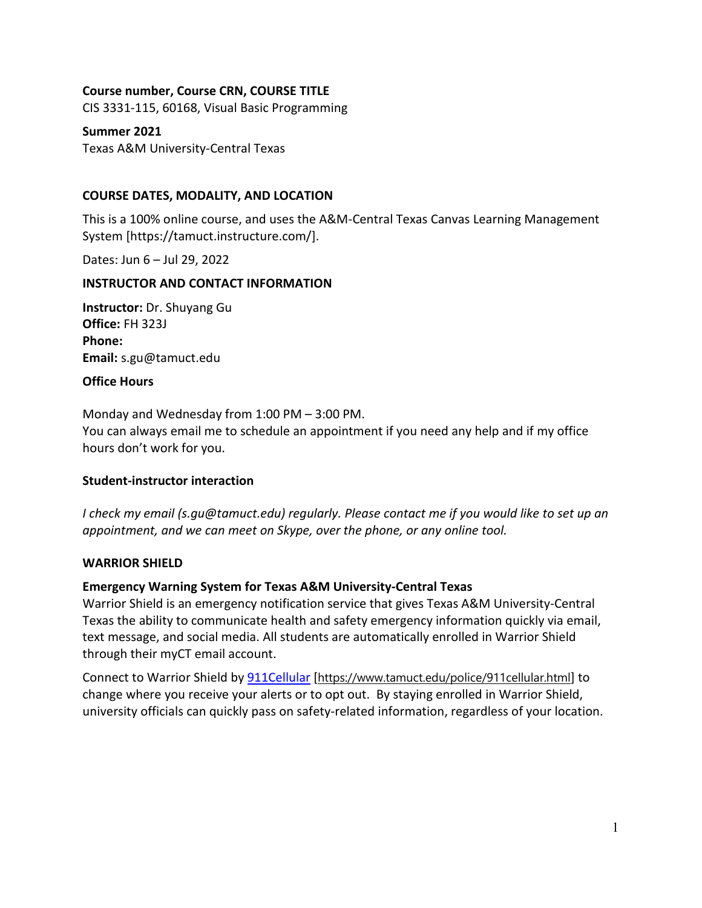### **Course number, Course CRN, COURSE TITLE**

CIS 3331-115, 60168, Visual Basic Programming

**Summer 2021**

Texas A&M University-Central Texas

### **COURSE DATES, MODALITY, AND LOCATION**

This is a 100% online course, and uses the A&M-Central Texas Canvas Learning Management System [https://tamuct.instructure.com/].

Dates: Jun 6 – Jul 29, 2022

### **INSTRUCTOR AND CONTACT INFORMATION**

**Instructor:** Dr. Shuyang Gu **Office:** FH 323J **Phone: Email:** s.gu@tamuct.edu

#### **Office Hours**

Monday and Wednesday from 1:00 PM – 3:00 PM. You can always email me to schedule an appointment if you need any help and if my office hours don't work for you.

### **Student-instructor interaction**

*I check my email (s.gu@tamuct.edu) regularly. Please contact me if you would like to set up an appointment, and we can meet on Skype, over the phone, or any online tool.* 

#### **WARRIOR SHIELD**

### **Emergency Warning System for Texas A&M University-Central Texas**

Warrior Shield is an emergency notification service that gives Texas A&M University-Central Texas the ability to communicate health and safety emergency information quickly via email, text message, and social media. All students are automatically enrolled in Warrior Shield through their myCT email account.

Connect to Warrior Shield b[y 911Cellular](https://www.tamuct.edu/police/911cellular.html) [<https://www.tamuct.edu/police/911cellular.html>] to change where you receive your alerts or to opt out. By staying enrolled in Warrior Shield, university officials can quickly pass on safety-related information, regardless of your location.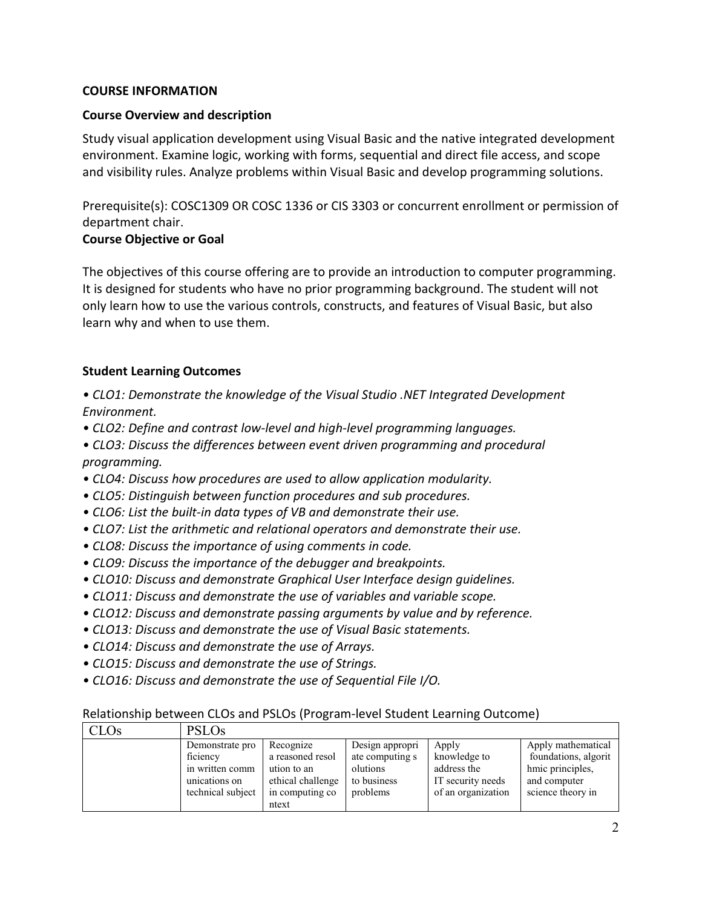#### **COURSE INFORMATION**

#### **Course Overview and description**

Study visual application development using Visual Basic and the native integrated development environment. Examine logic, working with forms, sequential and direct file access, and scope and visibility rules. Analyze problems within Visual Basic and develop programming solutions.

Prerequisite(s): COSC1309 OR [COSC](http://catalog.tamuct.edu/search/?P=COSC%201336) 1336 or CIS [3303](http://catalog.tamuct.edu/search/?P=CIS%203303) or concurrent enrollment or permission of department chair.

### **Course Objective or Goal**

The objectives of this course offering are to provide an introduction to computer programming. It is designed for students who have no prior programming background. The student will not only learn how to use the various controls, constructs, and features of Visual Basic, but also learn why and when to use them.

### **Student Learning Outcomes**

*• CLO1: Demonstrate the knowledge of the Visual Studio .NET Integrated Development Environment.* 

*• CLO2: Define and contrast low-level and high-level programming languages.*

*• CLO3: Discuss the differences between event driven programming and procedural programming.*

- *CLO4: Discuss how procedures are used to allow application modularity.*
- *CLO5: Distinguish between function procedures and sub procedures.*
- *CLO6: List the built-in data types of VB and demonstrate their use.*
- *CLO7: List the arithmetic and relational operators and demonstrate their use.*
- *CLO8: Discuss the importance of using comments in code.*
- *CLO9: Discuss the importance of the debugger and breakpoints.*
- *CLO10: Discuss and demonstrate Graphical User Interface design guidelines.*
- *CLO11: Discuss and demonstrate the use of variables and variable scope.*
- *CLO12: Discuss and demonstrate passing arguments by value and by reference.*
- *CLO13: Discuss and demonstrate the use of Visual Basic statements.*
- *CLO14: Discuss and demonstrate the use of Arrays.*
- *CLO15: Discuss and demonstrate the use of Strings.*
- *CLO16: Discuss and demonstrate the use of Sequential File I/O.*

### Relationship between CLOs and PSLOs (Program-level Student Learning Outcome)

| <b>CLOs</b> | <b>PSLOs</b>                                                                         |                                                                                                |                                                                           |                                                                                 |                                                                                                     |
|-------------|--------------------------------------------------------------------------------------|------------------------------------------------------------------------------------------------|---------------------------------------------------------------------------|---------------------------------------------------------------------------------|-----------------------------------------------------------------------------------------------------|
|             | Demonstrate pro<br>ficiency<br>in written comm<br>unications on<br>technical subject | Recognize<br>a reasoned resol<br>ution to an<br>ethical challenge<br>in computing co.<br>ntext | Design appropri<br>ate computing s<br>olutions<br>to business<br>problems | Apply<br>knowledge to<br>address the<br>IT security needs<br>of an organization | Apply mathematical<br>foundations, algorit<br>hmic principles,<br>and computer<br>science theory in |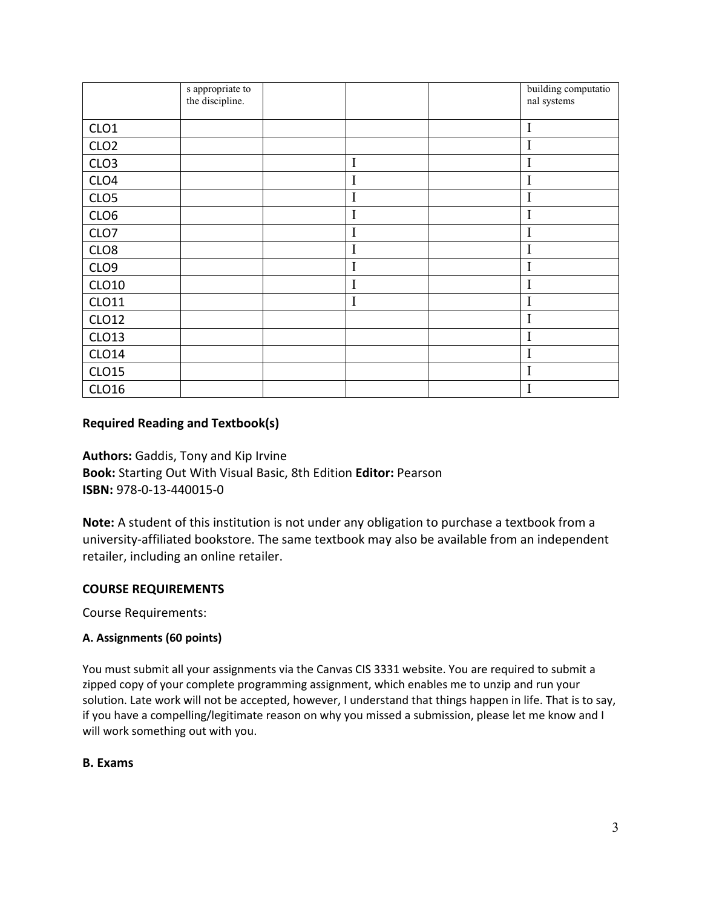|                  | s appropriate to |             | building computatio |
|------------------|------------------|-------------|---------------------|
|                  | the discipline.  |             | nal systems         |
|                  |                  |             |                     |
| CLO <sub>1</sub> |                  |             | I                   |
| CLO <sub>2</sub> |                  |             | I                   |
| CLO <sub>3</sub> |                  | $\mathbf I$ | I                   |
| CLO <sub>4</sub> |                  | I           | I                   |
| CLO <sub>5</sub> |                  | I           | I                   |
| CLO6             |                  | I           | $\mathbf I$         |
| CLO7             |                  | I           | I                   |
| CLO <sub>8</sub> |                  | I           | I                   |
| CLO <sub>9</sub> |                  | I           | I                   |
| <b>CLO10</b>     |                  | I           | I                   |
| CLO11            |                  | I           | I                   |
| CLO12            |                  |             | I                   |
| CLO13            |                  |             | I                   |
| <b>CLO14</b>     |                  |             | I                   |
| <b>CLO15</b>     |                  |             | I                   |
| <b>CLO16</b>     |                  |             | I                   |

### **Required Reading and Textbook(s)**

**Authors:** Gaddis, Tony and Kip Irvine **Book:** Starting Out With Visual Basic, 8th Edition **Editor:** Pearson **ISBN:** 978-0-13-440015-0

**Note:** A student of this institution is not under any obligation to purchase a textbook from a university-affiliated bookstore. The same textbook may also be available from an independent retailer, including an online retailer.

### **COURSE REQUIREMENTS**

Course Requirements:

#### **A. Assignments (60 points)**

You must submit all your assignments via the Canvas CIS 3331 website. You are required to submit a zipped copy of your complete programming assignment, which enables me to unzip and run your solution. Late work will not be accepted, however, I understand that things happen in life. That is to say, if you have a compelling/legitimate reason on why you missed a submission, please let me know and I will work something out with you.

### **B. Exams**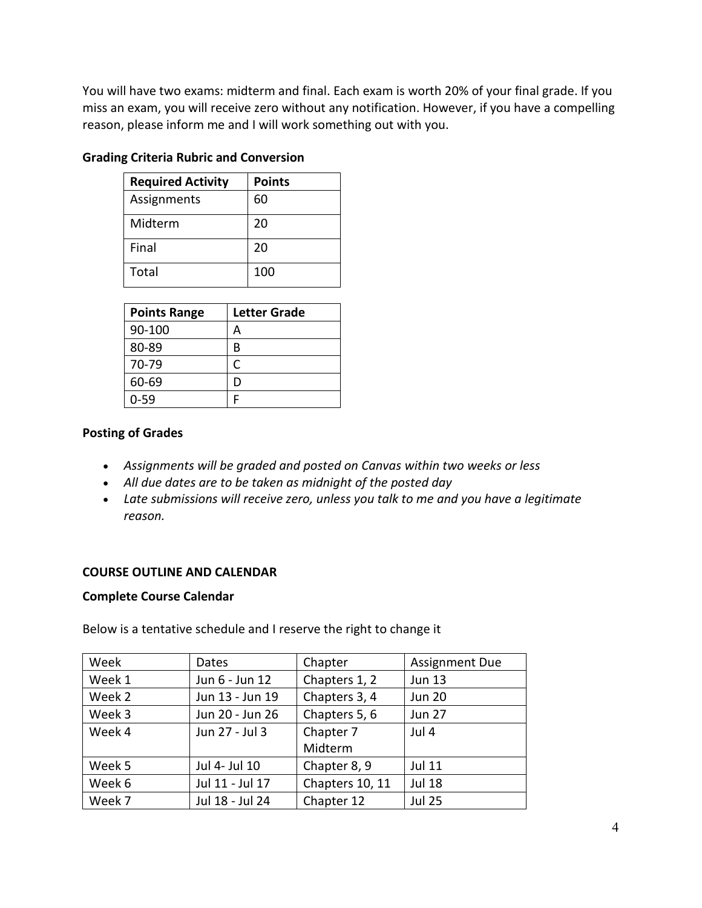You will have two exams: midterm and final. Each exam is worth 20% of your final grade. If you miss an exam, you will receive zero without any notification. However, if you have a compelling reason, please inform me and I will work something out with you.

| <b>Required Activity</b> | <b>Points</b> |
|--------------------------|---------------|
| Assignments              | 60            |
| Midterm                  | 20            |
| Final                    | 20            |
| Total                    | 100           |

### **Grading Criteria Rubric and Conversion**

| <b>Points Range</b> | <b>Letter Grade</b> |
|---------------------|---------------------|
| 90-100              |                     |
| 80-89               | в                   |
| 70-79               | r                   |
| 60-69               | D                   |
| $0 - 59$            |                     |

### **Posting of Grades**

- *Assignments will be graded and posted on Canvas within two weeks or less*
- *All due dates are to be taken as midnight of the posted day*
- *Late submissions will receive zero, unless you talk to me and you have a legitimate reason.*

### **COURSE OUTLINE AND CALENDAR**

#### **Complete Course Calendar**

| Week   | Dates           | Chapter         | <b>Assignment Due</b> |
|--------|-----------------|-----------------|-----------------------|
| Week 1 | Jun 6 - Jun 12  | Chapters 1, 2   | <b>Jun 13</b>         |
| Week 2 | Jun 13 - Jun 19 | Chapters 3, 4   | <b>Jun 20</b>         |
| Week 3 | Jun 20 - Jun 26 | Chapters 5, 6   | <b>Jun 27</b>         |
| Week 4 | Jun 27 - Jul 3  | Chapter 7       | Jul 4                 |
|        |                 | Midterm         |                       |
| Week 5 | Jul 4- Jul 10   | Chapter 8, 9    | <b>Jul 11</b>         |
| Week 6 | Jul 11 - Jul 17 | Chapters 10, 11 | <b>Jul 18</b>         |
| Week 7 | Jul 18 - Jul 24 | Chapter 12      | <b>Jul 25</b>         |

Below is a tentative schedule and I reserve the right to change it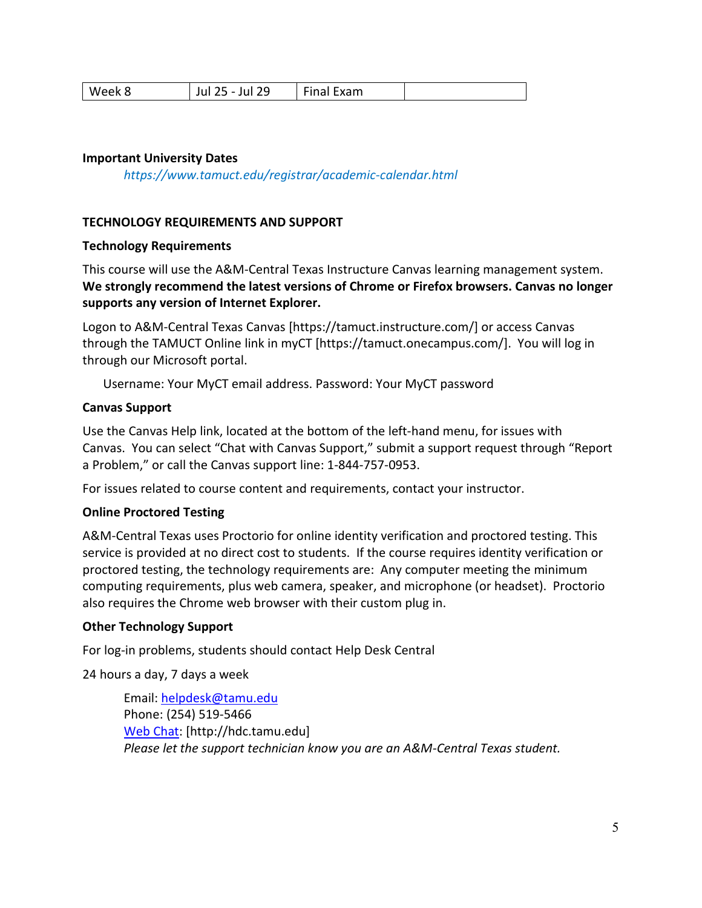| ر ے<br>. u i<br>-- | MAAK X | າດ<br>uı | --<br>ixam<br>. |  |
|--------------------|--------|----------|-----------------|--|
|--------------------|--------|----------|-----------------|--|

### **Important University Dates**

*https://www.tamuct.edu/registrar/academic-calendar.html*

### **TECHNOLOGY REQUIREMENTS AND SUPPORT**

### **Technology Requirements**

This course will use the A&M-Central Texas Instructure Canvas learning management system. **We strongly recommend the latest versions of Chrome or Firefox browsers. Canvas no longer supports any version of Internet Explorer.**

Logon to A&M-Central Texas Canvas [https://tamuct.instructure.com/] or access Canvas through the TAMUCT Online link in myCT [https://tamuct.onecampus.com/]. You will log in through our Microsoft portal.

Username: Your MyCT email address. Password: Your MyCT password

### **Canvas Support**

Use the Canvas Help link, located at the bottom of the left-hand menu, for issues with Canvas. You can select "Chat with Canvas Support," submit a support request through "Report a Problem," or call the Canvas support line: 1-844-757-0953.

For issues related to course content and requirements, contact your instructor.

### **Online Proctored Testing**

A&M-Central Texas uses Proctorio for online identity verification and proctored testing. This service is provided at no direct cost to students. If the course requires identity verification or proctored testing, the technology requirements are: Any computer meeting the minimum computing requirements, plus web camera, speaker, and microphone (or headset). Proctorio also requires the Chrome web browser with their custom plug in.

### **Other Technology Support**

For log-in problems, students should contact Help Desk Central

24 hours a day, 7 days a week

Email: [helpdesk@tamu.edu](mailto:helpdesk@tamu.edu) Phone: (254) 519-5466 [Web Chat:](http://hdc.tamu.edu/) [http://hdc.tamu.edu] *Please let the support technician know you are an A&M-Central Texas student.*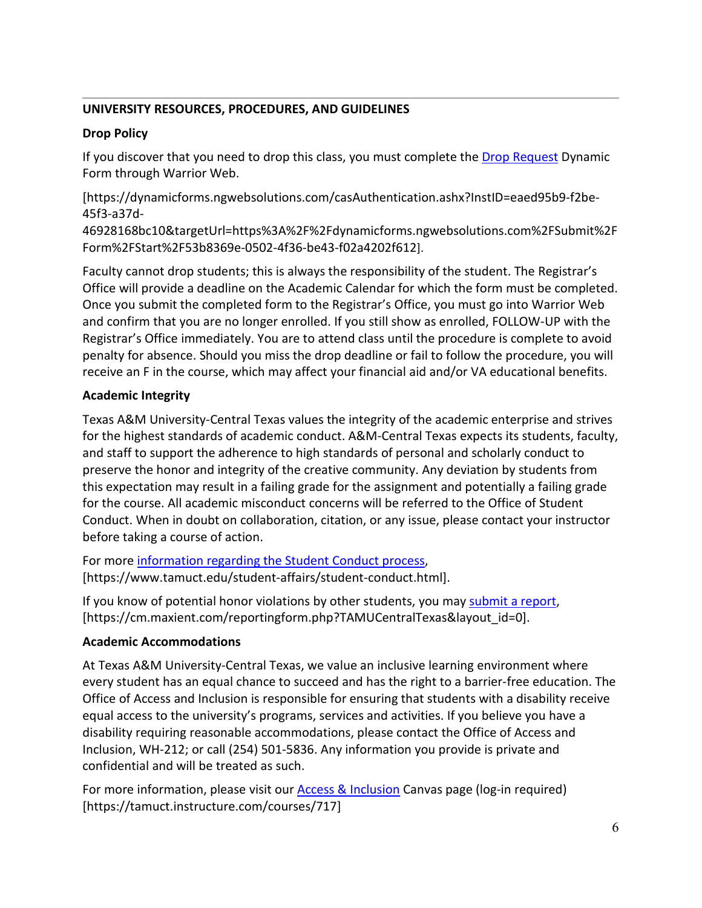# **UNIVERSITY RESOURCES, PROCEDURES, AND GUIDELINES**

# **Drop Policy**

If you discover that you need to drop this class, you must complete the [Drop Request](https://dynamicforms.ngwebsolutions.com/casAuthentication.ashx?InstID=eaed95b9-f2be-45f3-a37d-46928168bc10&targetUrl=https%3A%2F%2Fdynamicforms.ngwebsolutions.com%2FSubmit%2FForm%2FStart%2F53b8369e-0502-4f36-be43-f02a4202f612) Dynamic Form through Warrior Web.

[https://dynamicforms.ngwebsolutions.com/casAuthentication.ashx?InstID=eaed95b9-f2be-45f3-a37d-

46928168bc10&targetUrl=https%3A%2F%2Fdynamicforms.ngwebsolutions.com%2FSubmit%2F Form%2FStart%2F53b8369e-0502-4f36-be43-f02a4202f612].

Faculty cannot drop students; this is always the responsibility of the student. The Registrar's Office will provide a deadline on the Academic Calendar for which the form must be completed. Once you submit the completed form to the Registrar's Office, you must go into Warrior Web and confirm that you are no longer enrolled. If you still show as enrolled, FOLLOW-UP with the Registrar's Office immediately. You are to attend class until the procedure is complete to avoid penalty for absence. Should you miss the drop deadline or fail to follow the procedure, you will receive an F in the course, which may affect your financial aid and/or VA educational benefits.

# **Academic Integrity**

Texas A&M University-Central Texas values the integrity of the academic enterprise and strives for the highest standards of academic conduct. A&M-Central Texas expects its students, faculty, and staff to support the adherence to high standards of personal and scholarly conduct to preserve the honor and integrity of the creative community. Any deviation by students from this expectation may result in a failing grade for the assignment and potentially a failing grade for the course. All academic misconduct concerns will be referred to the Office of Student Conduct. When in doubt on collaboration, citation, or any issue, please contact your instructor before taking a course of action.

For more [information](https://nam04.safelinks.protection.outlook.com/?url=https%3A%2F%2Fwww.tamuct.edu%2Fstudent-affairs%2Fstudent-conduct.html&data=04%7C01%7Clisa.bunkowski%40tamuct.edu%7Ccfb6e486f24745f53e1a08d910055cb2%7C9eed4e3000f744849ff193ad8005acec%7C0%7C0%7C637558437485252160%7CUnknown%7CTWFpbGZsb3d8eyJWIjoiMC4wLjAwMDAiLCJQIjoiV2luMzIiLCJBTiI6Ik1haWwiLCJXVCI6Mn0%3D%7C1000&sdata=yjftDEVHvLX%2FhM%2FcFU0B99krV1RgEWR%2BJ%2BhvtoR6TYk%3D&reserved=0) regarding the Student Conduct process, [https://www.tamuct.edu/student-affairs/student-conduct.html].

If you know of potential honor violations by other students, you may [submit](https://nam04.safelinks.protection.outlook.com/?url=https%3A%2F%2Fcm.maxient.com%2Freportingform.php%3FTAMUCentralTexas%26layout_id%3D0&data=04%7C01%7Clisa.bunkowski%40tamuct.edu%7Ccfb6e486f24745f53e1a08d910055cb2%7C9eed4e3000f744849ff193ad8005acec%7C0%7C0%7C637558437485262157%7CUnknown%7CTWFpbGZsb3d8eyJWIjoiMC4wLjAwMDAiLCJQIjoiV2luMzIiLCJBTiI6Ik1haWwiLCJXVCI6Mn0%3D%7C1000&sdata=CXGkOa6uPDPX1IMZ87z3aZDq2n91xfHKu4MMS43Ejjk%3D&reserved=0) a report, [https://cm.maxient.com/reportingform.php?TAMUCentralTexas&layout\_id=0].

# **Academic Accommodations**

At Texas A&M University-Central Texas, we value an inclusive learning environment where every student has an equal chance to succeed and has the right to a barrier-free education. The Office of Access and Inclusion is responsible for ensuring that students with a disability receive equal access to the university's programs, services and activities. If you believe you have a disability requiring reasonable accommodations, please contact the Office of Access and Inclusion, WH-212; or call (254) 501-5836. Any information you provide is private and confidential and will be treated as such.

For more information, please visit our **Access & Inclusion** Canvas page (log-in required) [https://tamuct.instructure.com/courses/717]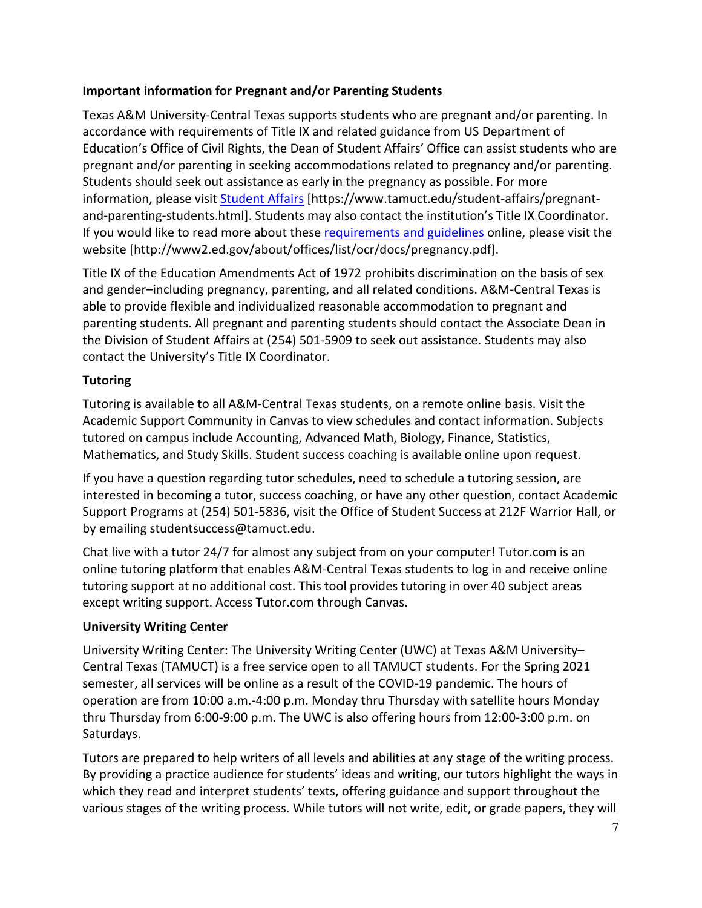## **Important information for Pregnant and/or Parenting Students**

Texas A&M University-Central Texas supports students who are pregnant and/or parenting. In accordance with requirements of Title IX and related guidance from US Department of Education's Office of Civil Rights, the Dean of Student Affairs' Office can assist students who are pregnant and/or parenting in seeking accommodations related to pregnancy and/or parenting. Students should seek out assistance as early in the pregnancy as possible. For more information, please visit [Student Affairs](https://www.tamuct.edu/student-affairs/pregnant-and-parenting-students.html) [https://www.tamuct.edu/student-affairs/pregnantand-parenting-students.html]. Students may also contact the institution's Title IX Coordinator. If you would like to read more about thes[e requirements and guidelines](http://www2.ed.gov/about/offices/list/ocr/docs/pregnancy.pdf) online, please visit the website [http://www2.ed.gov/about/offices/list/ocr/docs/pregnancy.pdf].

Title IX of the Education Amendments Act of 1972 prohibits discrimination on the basis of sex and gender–including pregnancy, parenting, and all related conditions. A&M-Central Texas is able to provide flexible and individualized reasonable accommodation to pregnant and parenting students. All pregnant and parenting students should contact the Associate Dean in the Division of Student Affairs at (254) 501-5909 to seek out assistance. Students may also contact the University's Title IX Coordinator.

# **Tutoring**

Tutoring is available to all A&M-Central Texas students, on a remote online basis. Visit the Academic Support Community in Canvas to view schedules and contact information. Subjects tutored on campus include Accounting, Advanced Math, Biology, Finance, Statistics, Mathematics, and Study Skills. Student success coaching is available online upon request.

If you have a question regarding tutor schedules, need to schedule a tutoring session, are interested in becoming a tutor, success coaching, or have any other question, contact Academic Support Programs at (254) 501-5836, visit the Office of Student Success at 212F Warrior Hall, or by emailing studentsuccess@tamuct.edu.

Chat live with a tutor 24/7 for almost any subject from on your computer! Tutor.com is an online tutoring platform that enables A&M-Central Texas students to log in and receive online tutoring support at no additional cost. This tool provides tutoring in over 40 subject areas except writing support. Access Tutor.com through Canvas.

# **University Writing Center**

University Writing Center: The University Writing Center (UWC) at Texas A&M University– Central Texas (TAMUCT) is a free service open to all TAMUCT students. For the Spring 2021 semester, all services will be online as a result of the COVID-19 pandemic. The hours of operation are from 10:00 a.m.-4:00 p.m. Monday thru Thursday with satellite hours Monday thru Thursday from 6:00-9:00 p.m. The UWC is also offering hours from 12:00-3:00 p.m. on Saturdays.

Tutors are prepared to help writers of all levels and abilities at any stage of the writing process. By providing a practice audience for students' ideas and writing, our tutors highlight the ways in which they read and interpret students' texts, offering guidance and support throughout the various stages of the writing process. While tutors will not write, edit, or grade papers, they will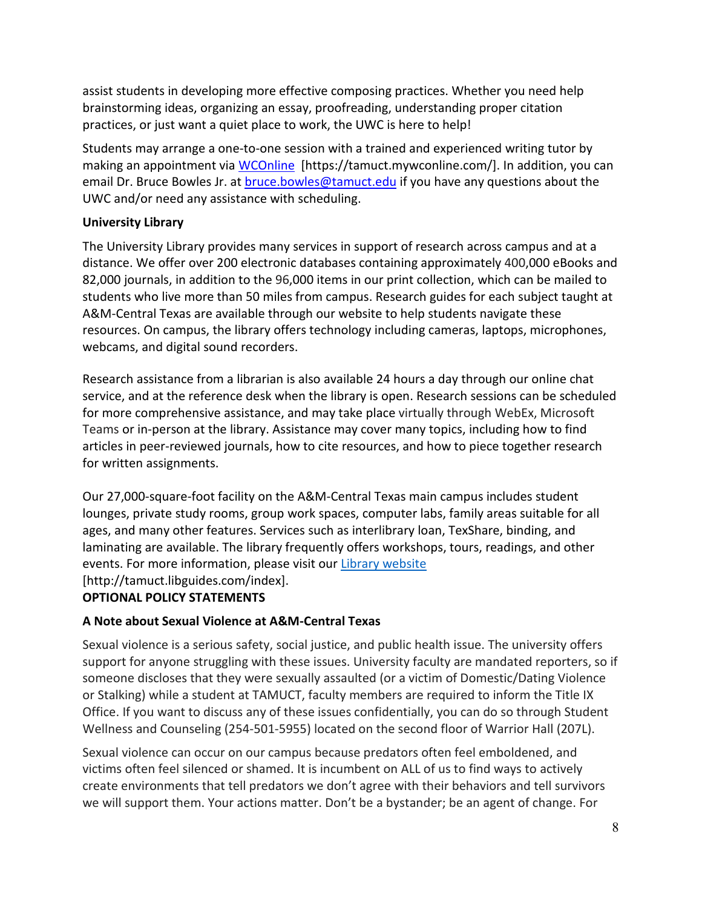assist students in developing more effective composing practices. Whether you need help brainstorming ideas, organizing an essay, proofreading, understanding proper citation practices, or just want a quiet place to work, the UWC is here to help!

Students may arrange a one-to-one session with a trained and experienced writing tutor by making an appointment via [WCOnline](https://tamuct.mywconline.com/) [https://tamuct.mywconline.com/]. In addition, you can email Dr. Bruce Bowles Jr. at **bruce.bowles@tamuct.edu** if you have any questions about the UWC and/or need any assistance with scheduling.

## **University Library**

The University Library provides many services in support of research across campus and at a distance. We offer over 200 electronic databases containing approximately 400,000 eBooks and 82,000 journals, in addition to the 96,000 items in our print collection, which can be mailed to students who live more than 50 miles from campus. Research guides for each subject taught at A&M-Central Texas are available through our website to help students navigate these resources. On campus, the library offers technology including cameras, laptops, microphones, webcams, and digital sound recorders.

Research assistance from a librarian is also available 24 hours a day through our online chat service, and at the reference desk when the library is open. Research sessions can be scheduled for more comprehensive assistance, and may take place virtually through WebEx, Microsoft Teams or in-person at the library. Assistance may cover many topics, including how to find articles in peer-reviewed journals, how to cite resources, and how to piece together research for written assignments.

Our 27,000-square-foot facility on the A&M-Central Texas main campus includes student lounges, private study rooms, group work spaces, computer labs, family areas suitable for all ages, and many other features. Services such as interlibrary loan, TexShare, binding, and laminating are available. The library frequently offers workshops, tours, readings, and other events. For more information, please visit our Library [website](https://nam04.safelinks.protection.outlook.com/?url=https%3A%2F%2Ftamuct.libguides.com%2Findex&data=04%7C01%7Clisa.bunkowski%40tamuct.edu%7C7d8489e8839a4915335f08d916f067f2%7C9eed4e3000f744849ff193ad8005acec%7C0%7C0%7C637566044056484222%7CUnknown%7CTWFpbGZsb3d8eyJWIjoiMC4wLjAwMDAiLCJQIjoiV2luMzIiLCJBTiI6Ik1haWwiLCJXVCI6Mn0%3D%7C1000&sdata=2R755V6rcIyedGrd4Os5rkgn1PvhHKU3kUV1vBKiHFo%3D&reserved=0) [http://tamuct.libguides.com/index].

# **OPTIONAL POLICY STATEMENTS**

## **A Note about Sexual Violence at A&M-Central Texas**

Sexual violence is a serious safety, social justice, and public health issue. The university offers support for anyone struggling with these issues. University faculty are mandated reporters, so if someone discloses that they were sexually assaulted (or a victim of Domestic/Dating Violence or Stalking) while a student at TAMUCT, faculty members are required to inform the Title IX Office. If you want to discuss any of these issues confidentially, you can do so through Student Wellness and Counseling (254-501-5955) located on the second floor of Warrior Hall (207L).

Sexual violence can occur on our campus because predators often feel emboldened, and victims often feel silenced or shamed. It is incumbent on ALL of us to find ways to actively create environments that tell predators we don't agree with their behaviors and tell survivors we will support them. Your actions matter. Don't be a bystander; be an agent of change. For